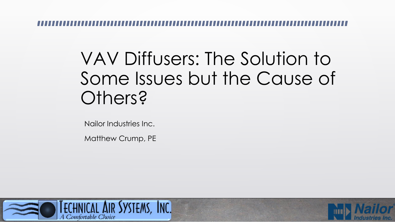#### VAV Diffusers: The Solution to Some Issues but the Cause of Others?

Nailor Industries Inc.

Matthew Crump, PE



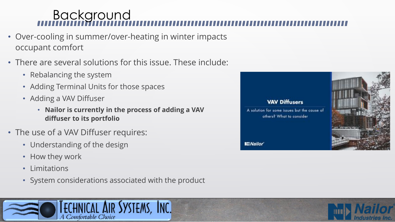#### Background

- Over-cooling in summer/over-heating in winter impacts occupant comfort
- There are several solutions for this issue. These include:
	- Rebalancing the system
	- Adding Terminal Units for those spaces
	- Adding a VAV Diffuser
		- **Nailor is currently in the process of adding a VAV diffuser to its portfolio**
- The use of a VAV Diffuser requires:
	- Understanding of the design
	- How they work
	- Limitations
	- System considerations associated with the product





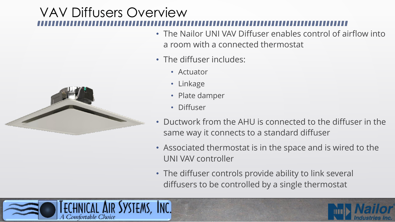# VAV Diffusers Overview



- The diffuser includes:
	- Actuator
	- Linkage
	- Plate damper
	- Diffuser
- Ductwork from the AHU is connected to the diffuser in the same way it connects to a standard diffuser
- Associated thermostat is in the space and is wired to the UNI VAV controller
- The diffuser controls provide ability to link several diffusers to be controlled by a single thermostat





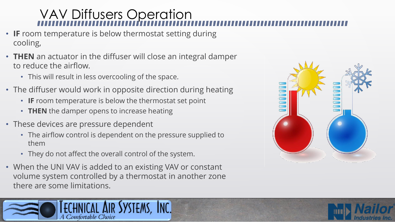## VAV Diffusers Operation

- **IF** room temperature is below thermostat setting during cooling,
- **THEN** an actuator in the diffuser will close an integral damper to reduce the airflow.
	- This will result in less overcooling of the space.
- The diffuser would work in opposite direction during heating
	- **IF** room temperature is below the thermostat set point
	- **THEN** the damper opens to increase heating
- These devices are pressure dependent
	- The airflow control is dependent on the pressure supplied to them
	- They do not affect the overall control of the system.
- When the UNI VAV is added to an existing VAV or constant volume system controlled by a thermostat in another zone there are some limitations.





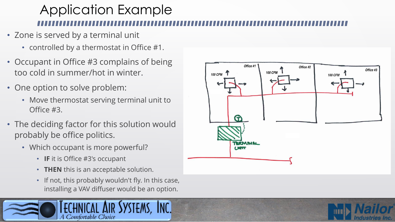# Application Example

- Zone is served by a terminal unit
	- controlled by a thermostat in Office #1.
- Occupant in Office #3 complains of being too cold in summer/hot in winter.
- One option to solve problem:
	- Move thermostat serving terminal unit to Office #3.
- The deciding factor for this solution would probably be office politics.
	- Which occupant is more powerful?
		- **IF** it is Office #3's occupant
		- **THEN** this is an acceptable solution.
		- If not, this probably wouldn't fly. In this case, installing a VAV diffuser would be an option.





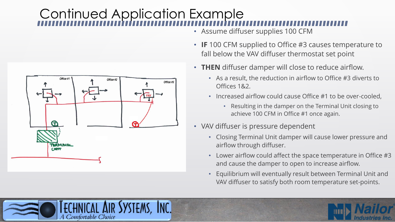# Continued Application Example



- Assume diffuser supplies 100 CFM
- **IF** 100 CFM supplied to Office #3 causes temperature to fall below the VAV diffuser thermostat set point
- **THEN** diffuser damper will close to reduce airflow.
	- As a result, the reduction in airflow to Office #3 diverts to Offices 1&2.
	- Increased airflow could cause Office #1 to be over-cooled,
		- Resulting in the damper on the Terminal Unit closing to achieve 100 CFM in Office #1 once again.
- VAV diffuser is pressure dependent
	- Closing Terminal Unit damper will cause lower pressure and airflow through diffuser.
	- Lower airflow could affect the space temperature in Office #3 and cause the damper to open to increase airflow.
	- Equilibrium will eventually result between Terminal Unit and VAV diffuser to satisfy both room temperature set-points.



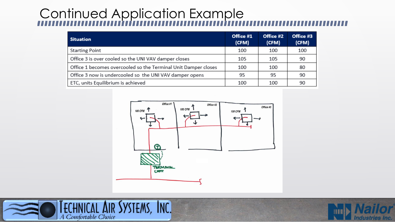## Continued Application Example

| <b>Situation</b>                                               | Office #1<br>(CFM) | Office #2<br>(CFM) | Office #3<br>(CFM) |
|----------------------------------------------------------------|--------------------|--------------------|--------------------|
| <b>Starting Point</b>                                          | 100                | 100                | 100                |
| Office 3 is over cooled so the UNI VAV damper closes           | 105                | 105                | 90                 |
| Office 1 becomes overcooled so the Terminal Unit Damper closes | 100                | 100                | 80                 |
| Office 3 now is undercooled so the UNI VAV damper opens        | 95                 | 95                 | 90                 |
| ETC, units Equilibrium is achieved                             | 100                | 100                | 90                 |





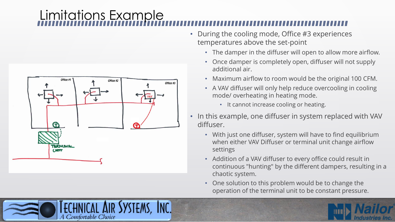## Limitations Example



- During the cooling mode, Office #3 experiences temperatures above the set-point
	- The damper in the diffuser will open to allow more airflow.
	- Once damper is completely open, diffuser will not supply additional air.
	- Maximum airflow to room would be the original 100 CFM.
	- A VAV diffuser will only help reduce overcooling in cooling mode/ overheating in heating mode.
		- It cannot increase cooling or heating.
- In this example, one diffuser in system replaced with VAV diffuser.
	- With just one diffuser, system will have to find equilibrium when either VAV Diffuser or terminal unit change airflow settings
	- Addition of a VAV diffuser to every office could result in continuous "hunting" by the different dampers, resulting in a chaotic system.
	- One solution to this problem would be to change the operation of the terminal unit to be constant pressure.



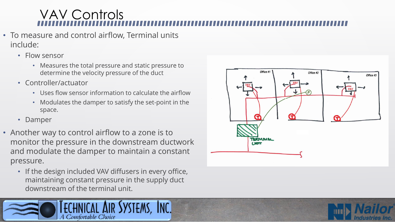## VAV Controls

- To measure and control airflow, Terminal units include:
	- Flow sensor
		- Measures the total pressure and static pressure to determine the velocity pressure of the duct
	- Controller/actuator
		- Uses flow sensor information to calculate the airflow
		- Modulates the damper to satisfy the set-point in the space.
	- Damper
- Another way to control airflow to a zone is to monitor the pressure in the downstream ductwork and modulate the damper to maintain a constant pressure.
	- If the design included VAV diffusers in every office, maintaining constant pressure in the supply duct downstream of the terminal unit.





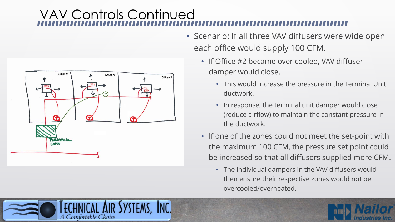## VAV Controls Continued



- Scenario: If all three VAV diffusers were wide open each office would supply 100 CFM.
	- If Office #2 became over cooled, VAV diffuser damper would close.
		- This would increase the pressure in the Terminal Unit ductwork.
		- In response, the terminal unit damper would close (reduce airflow) to maintain the constant pressure in the ductwork.
	- If one of the zones could not meet the set-point with the maximum 100 CFM, the pressure set point could be increased so that all diffusers supplied more CFM.
		- The individual dampers in the VAV diffusers would then ensure their respective zones would not be overcooled/overheated.



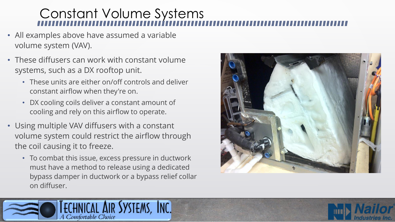# Constant Volume Systems

- All examples above have assumed a variable volume system (VAV).
- These diffusers can work with constant volume systems, such as a DX rooftop unit.
	- These units are either on/off controls and deliver constant airflow when they're on.
	- DX cooling coils deliver a constant amount of cooling and rely on this airflow to operate.
- Using multiple VAV diffusers with a constant volume system could restrict the airflow through the coil causing it to freeze.
	- To combat this issue, excess pressure in ductwork must have a method to release using a dedicated bypass damper in ductwork or a bypass relief collar on diffuser.





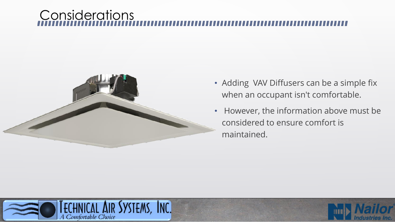#### **Considerations**



- Adding VAV Diffusers can be a simple fix when an occupant isn't comfortable.
- However, the information above must be considered to ensure comfort is maintained.